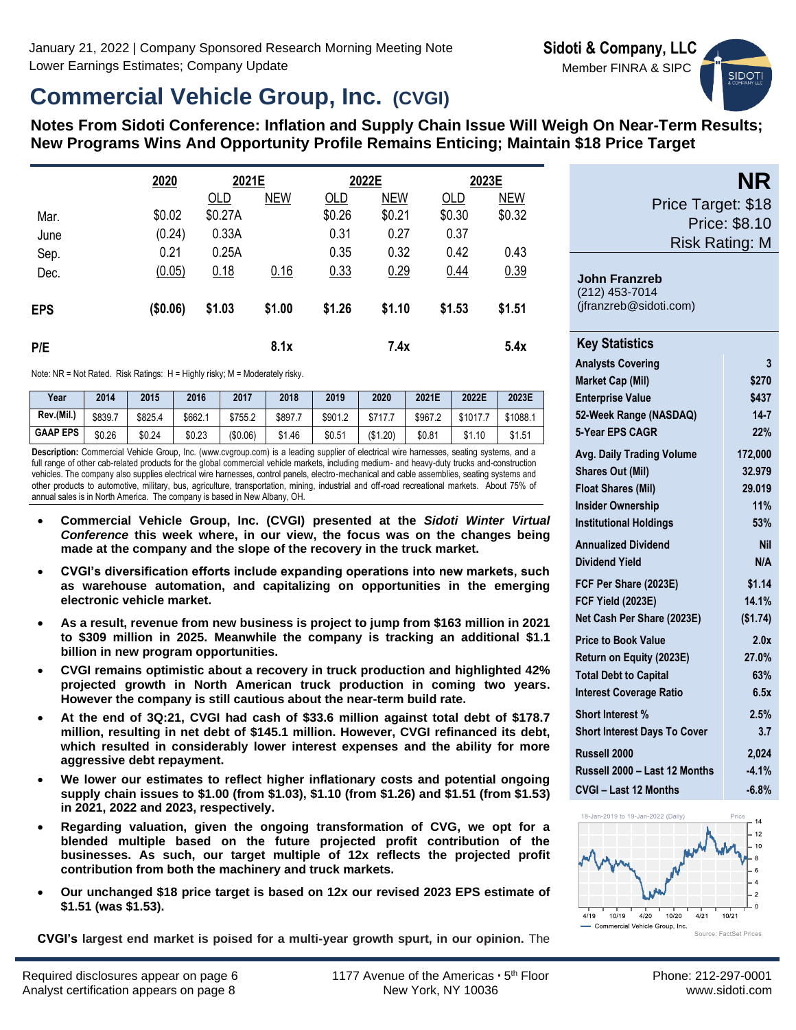**John Franzreb** (212) 453-7014 (jfranzreb@sidoti.com)

**SIDOT** 

**NR**

Price Target: \$18

Price: \$8.10 Risk Rating: M

# **Commercial Vehicle Group, Inc. (CVGI)**

**Notes From Sidoti Conference: Inflation and Supply Chain Issue Will Weigh On Near-Term Results; New Programs Wins And Opportunity Profile Remains Enticing; Maintain \$18 Price Target**

|            | 2020     | 2021E   |            | 2022E  |            | 2023E  |            |  |
|------------|----------|---------|------------|--------|------------|--------|------------|--|
|            |          | OLD     | <b>NEW</b> | OLD    | <b>NEW</b> | OLD    | <b>NEW</b> |  |
| Mar.       | \$0.02   | \$0.27A |            | \$0.26 | \$0.21     | \$0.30 | \$0.32     |  |
| June       | (0.24)   | 0.33A   |            | 0.31   | 0.27       | 0.37   |            |  |
| Sep.       | 0.21     | 0.25A   |            | 0.35   | 0.32       | 0.42   | 0.43       |  |
| Dec.       | (0.05)   | 0.18    | 0.16       | 0.33   | 0.29       | 0.44   | 0.39       |  |
| <b>EPS</b> | (\$0.06) | \$1.03  | \$1.00     | \$1.26 | \$1.10     | \$1.53 | \$1.51     |  |
| P/E        |          |         | 8.1x       |        | 7.4x       |        | 5.4x       |  |

Note: NR = Not Rated. Risk Ratings: H = Highly risky; M = Moderately risky.

| Year            | 2014    | 2015    | 2016    | 2017     | 2018    | 2019    | 2020     | 2021E   | 2022E    | 2023E               |
|-----------------|---------|---------|---------|----------|---------|---------|----------|---------|----------|---------------------|
| Rev.(Mil.)      | \$839.7 | \$825.4 | \$662.1 | \$755.2  | \$897.7 | \$901.2 | \$717.7  | \$967.2 | \$1017.7 | <sup></sup> *1088.⊤ |
| <b>GAAP EPS</b> | \$0.26  | \$0.24  | \$0.23  | (\$0.06) | \$1.46  | \$0.51  | (\$1.20) | \$0.81  | \$1.10   | \$1.51              |

**Description:** Commercial Vehicle Group, Inc. (www.cvgroup.com) is a leading supplier of electrical wire harnesses, seating systems, and a full range of other cab-related products for the global commercial vehicle markets, including medium- and heavy-duty trucks and-construction vehicles. The company also supplies electrical wire harnesses, control panels, electro-mechanical and cable assemblies, seating systems and other products to automotive, military, bus, agriculture, transportation, mining, industrial and off-road recreational markets. About 75% of annual sales is in North America. The company is based in New Albany, OH.

- **Commercial Vehicle Group, Inc. (CVGI) presented at the** *Sidoti Winter Virtual Conference* **this week where, in our view, the focus was on the changes being made at the company and the slope of the recovery in the truck market.**
- **CVGI's diversification efforts include expanding operations into new markets, such as warehouse automation, and capitalizing on opportunities in the emerging electronic vehicle market.**
- **As a result, revenue from new business is project to jump from \$163 million in 2021 to \$309 million in 2025. Meanwhile the company is tracking an additional \$1.1 billion in new program opportunities.**
- **CVGI remains optimistic about a recovery in truck production and highlighted 42% projected growth in North American truck production in coming two years. However the company is still cautious about the near-term build rate.**
- **At the end of 3Q:21, CVGI had cash of \$33.6 million against total debt of \$178.7 million, resulting in net debt of \$145.1 million. However, CVGI refinanced its debt, which resulted in considerably lower interest expenses and the ability for more aggressive debt repayment.**
- **We lower our estimates to reflect higher inflationary costs and potential ongoing supply chain issues to \$1.00 (from \$1.03), \$1.10 (from \$1.26) and \$1.51 (from \$1.53) in 2021, 2022 and 2023, respectively.**
- **Regarding valuation, given the ongoing transformation of CVG, we opt for a blended multiple based on the future projected profit contribution of the businesses. As such, our target multiple of 12x reflects the projected profit contribution from both the machinery and truck markets.**
- **Our unchanged \$18 price target is based on 12x our revised 2023 EPS estimate of \$1.51 (was \$1.53).**

**CVGI's largest end market is poised for a multi-year growth spurt, in our opinion.** The

| <b>Key Statistics</b>               |            |
|-------------------------------------|------------|
| <b>Analysts Covering</b>            | 3          |
| <b>Market Cap (Mil)</b>             | \$270      |
| <b>Enterprise Value</b>             | \$437      |
| 52-Week Range (NASDAQ)              | $14 - 7$   |
| 5-Year EPS CAGR                     | 22%        |
| <b>Avg. Daily Trading Volume</b>    | 172,000    |
| <b>Shares Out (Mil)</b>             | 32.979     |
| <b>Float Shares (Mil)</b>           | 29.019     |
| <b>Insider Ownership</b>            | 11%        |
| <b>Institutional Holdings</b>       | 53%        |
| <b>Annualized Dividend</b>          | <b>Nil</b> |
| Dividend Yield                      | N/A        |
| FCF Per Share (2023E)               | \$1.14     |
| FCF Yield (2023E)                   | 14.1%      |
| Net Cash Per Share (2023E)          | (\$1.74)   |
| <b>Price to Book Value</b>          | 2.0x       |
| Return on Equity (2023E)            | 27.0%      |
| <b>Total Debt to Capital</b>        | 63%        |
| <b>Interest Coverage Ratio</b>      | 6.5x       |
| <b>Short Interest %</b>             | 2.5%       |
| <b>Short Interest Days To Cover</b> | 3.7        |
| Russell 2000                        | 2,024      |
| Russell 2000 - Last 12 Months       | $-4.1%$    |
| <b>CVGI - Last 12 Months</b>        | $-6.8%$    |
|                                     |            |

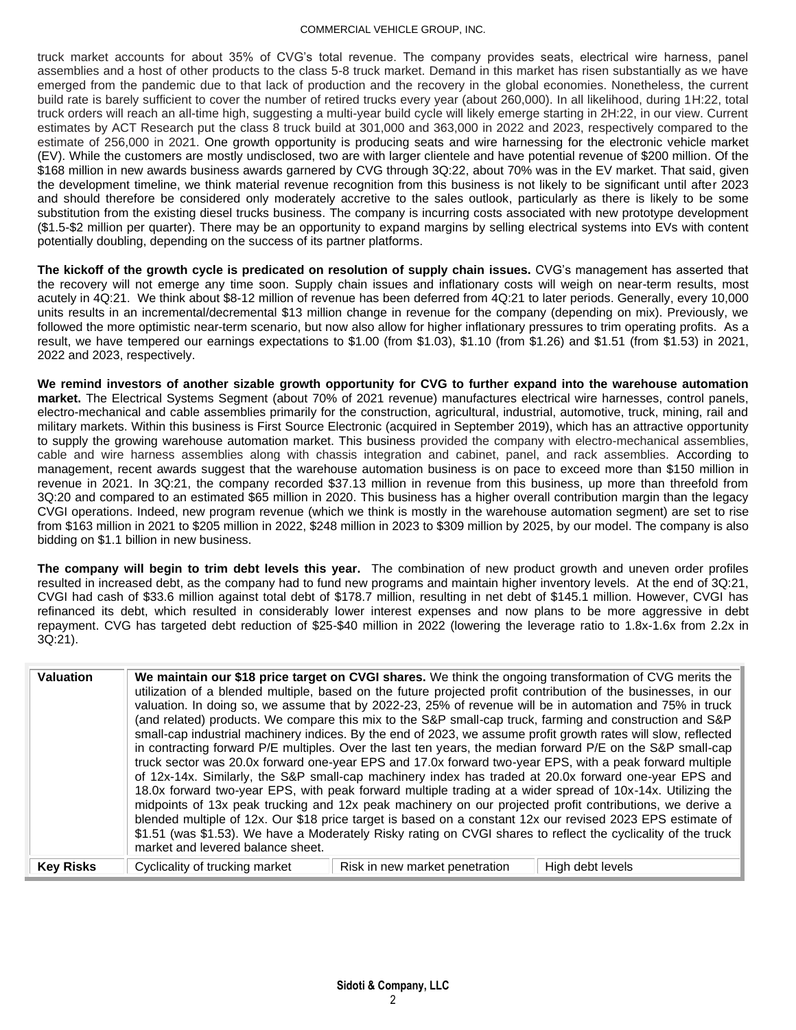#### COMMERCIAL VEHICLE GROUP, INC.

truck market accounts for about 35% of CVG's total revenue. The company provides seats, electrical wire harness, panel assemblies and a host of other products to the class 5-8 truck market. Demand in this market has risen substantially as we have emerged from the pandemic due to that lack of production and the recovery in the global economies. Nonetheless, the current build rate is barely sufficient to cover the number of retired trucks every year (about 260,000). In all likelihood, during 1H:22, total truck orders will reach an all-time high, suggesting a multi-year build cycle will likely emerge starting in 2H:22, in our view. Current estimates by ACT Research put the class 8 truck build at 301,000 and 363,000 in 2022 and 2023, respectively compared to the estimate of 256,000 in 2021. One growth opportunity is producing seats and wire harnessing for the electronic vehicle market (EV). While the customers are mostly undisclosed, two are with larger clientele and have potential revenue of \$200 million. Of the \$168 million in new awards business awards garnered by CVG through 3Q:22, about 70% was in the EV market. That said, given the development timeline, we think material revenue recognition from this business is not likely to be significant until after 2023 and should therefore be considered only moderately accretive to the sales outlook, particularly as there is likely to be some substitution from the existing diesel trucks business. The company is incurring costs associated with new prototype development (\$1.5-\$2 million per quarter). There may be an opportunity to expand margins by selling electrical systems into EVs with content potentially doubling, depending on the success of its partner platforms.

**The kickoff of the growth cycle is predicated on resolution of supply chain issues.** CVG's management has asserted that the recovery will not emerge any time soon. Supply chain issues and inflationary costs will weigh on near-term results, most acutely in 4Q:21. We think about \$8-12 million of revenue has been deferred from 4Q:21 to later periods. Generally, every 10,000 units results in an incremental/decremental \$13 million change in revenue for the company (depending on mix). Previously, we followed the more optimistic near-term scenario, but now also allow for higher inflationary pressures to trim operating profits. As a result, we have tempered our earnings expectations to \$1.00 (from \$1.03), \$1.10 (from \$1.26) and \$1.51 (from \$1.53) in 2021, 2022 and 2023, respectively.

**We remind investors of another sizable growth opportunity for CVG to further expand into the warehouse automation market.** The Electrical Systems Segment (about 70% of 2021 revenue) manufactures electrical wire harnesses, control panels, electro-mechanical and cable assemblies primarily for the construction, agricultural, industrial, automotive, truck, mining, rail and military markets. Within this business is First Source Electronic (acquired in September 2019), which has an attractive opportunity to supply the growing warehouse automation market. This business provided the company with electro-mechanical assemblies, cable and wire harness assemblies along with chassis integration and cabinet, panel, and rack assemblies. According to management, recent awards suggest that the warehouse automation business is on pace to exceed more than \$150 million in revenue in 2021. In 3Q:21, the company recorded \$37.13 million in revenue from this business, up more than threefold from 3Q:20 and compared to an estimated \$65 million in 2020. This business has a higher overall contribution margin than the legacy CVGI operations. Indeed, new program revenue (which we think is mostly in the warehouse automation segment) are set to rise from \$163 million in 2021 to \$205 million in 2022, \$248 million in 2023 to \$309 million by 2025, by our model. The company is also bidding on \$1.1 billion in new business.

**The company will begin to trim debt levels this year.** The combination of new product growth and uneven order profiles resulted in increased debt, as the company had to fund new programs and maintain higher inventory levels. At the end of 3Q:21, CVGI had cash of \$33.6 million against total debt of \$178.7 million, resulting in net debt of \$145.1 million. However, CVGI has refinanced its debt, which resulted in considerably lower interest expenses and now plans to be more aggressive in debt repayment. CVG has targeted debt reduction of \$25-\$40 million in 2022 (lowering the leverage ratio to 1.8x-1.6x from 2.2x in 3Q:21).

| <b>Valuation</b> | We maintain our \$18 price target on CVGI shares. We think the ongoing transformation of CVG merits the<br>utilization of a blended multiple, based on the future projected profit contribution of the businesses, in our<br>valuation. In doing so, we assume that by 2022-23, 25% of revenue will be in automation and 75% in truck<br>(and related) products. We compare this mix to the S&P small-cap truck, farming and construction and S&P<br>small-cap industrial machinery indices. By the end of 2023, we assume profit growth rates will slow, reflected<br>in contracting forward P/E multiples. Over the last ten years, the median forward P/E on the S&P small-cap<br>truck sector was 20.0x forward one-year EPS and 17.0x forward two-year EPS, with a peak forward multiple<br>of 12x-14x. Similarly, the S&P small-cap machinery index has traded at 20.0x forward one-year EPS and<br>18.0x forward two-year EPS, with peak forward multiple trading at a wider spread of 10x-14x. Utilizing the<br>midpoints of 13x peak trucking and 12x peak machinery on our projected profit contributions, we derive a<br>blended multiple of 12x. Our \$18 price target is based on a constant 12x our revised 2023 EPS estimate of<br>\$1.51 (was \$1.53). We have a Moderately Risky rating on CVGI shares to reflect the cyclicality of the truck<br>market and levered balance sheet. |
|------------------|------------------------------------------------------------------------------------------------------------------------------------------------------------------------------------------------------------------------------------------------------------------------------------------------------------------------------------------------------------------------------------------------------------------------------------------------------------------------------------------------------------------------------------------------------------------------------------------------------------------------------------------------------------------------------------------------------------------------------------------------------------------------------------------------------------------------------------------------------------------------------------------------------------------------------------------------------------------------------------------------------------------------------------------------------------------------------------------------------------------------------------------------------------------------------------------------------------------------------------------------------------------------------------------------------------------------------------------------------------------------------------------------------|
| <b>Key Risks</b> | Cyclicality of trucking market<br>Risk in new market penetration<br>High debt levels                                                                                                                                                                                                                                                                                                                                                                                                                                                                                                                                                                                                                                                                                                                                                                                                                                                                                                                                                                                                                                                                                                                                                                                                                                                                                                                 |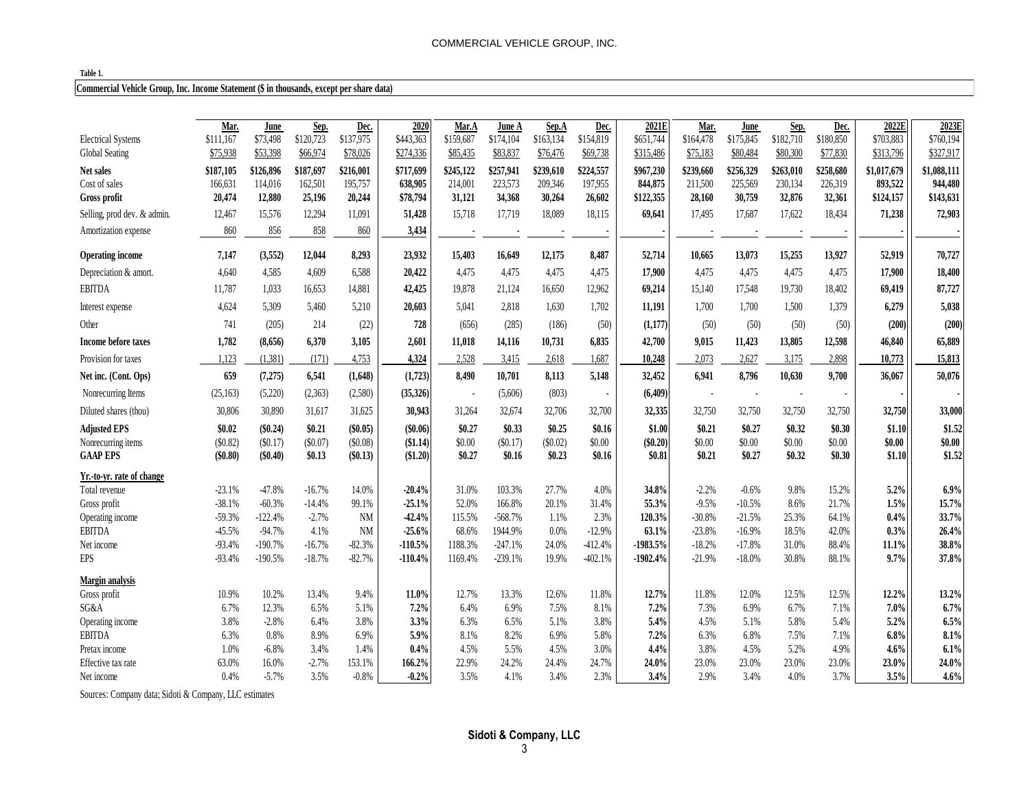#### **Table 1.**

## **Commercial Vehicle Group, Inc. Income Statement (\$ in thousands, except per share data)**

| 2020<br>2021E<br>2022E<br>Mar.<br>Mar.<br>Sep.<br>June<br>Sep.<br>Dec.<br>Mar.A<br>Sep.A<br>Dec.<br>Dec.<br>June A<br>June<br>\$137,975<br>\$73,498<br>\$120,723<br>\$443,363<br>\$163,134<br>\$154,819<br>\$651,744<br>\$164,478<br>\$175,845<br>\$182,710<br>\$180,850<br>\$703,883<br><b>Electrical Systems</b><br>\$111,167<br>\$159,687<br>\$174,104<br>Global Seating<br>\$75,938<br>\$53,398<br>\$66,974<br>\$78,026<br>\$274,336<br>\$85,435<br>\$83,837<br>\$76,476<br>\$69,738<br>\$315,486<br>\$75,183<br>\$80,484<br>\$80,300<br>\$77,830<br>\$313,796 | 2023E<br>\$760,194<br>\$327,917 |
|--------------------------------------------------------------------------------------------------------------------------------------------------------------------------------------------------------------------------------------------------------------------------------------------------------------------------------------------------------------------------------------------------------------------------------------------------------------------------------------------------------------------------------------------------------------------|---------------------------------|
|                                                                                                                                                                                                                                                                                                                                                                                                                                                                                                                                                                    |                                 |
|                                                                                                                                                                                                                                                                                                                                                                                                                                                                                                                                                                    |                                 |
|                                                                                                                                                                                                                                                                                                                                                                                                                                                                                                                                                                    |                                 |
| \$187,697<br>\$245,122<br>\$257,941<br>\$239,610<br>\$224,557<br>\$258,680<br>\$187,105<br>\$126,896<br>\$216,001<br>\$717,699<br>\$967,230<br>\$239,660<br>\$256,329<br>\$263,010<br>\$1,017,679<br>Net sales                                                                                                                                                                                                                                                                                                                                                     | \$1,088,111                     |
| 166,631<br>114,016<br>162,501<br>195,757<br>638,905<br>214,001<br>223,573<br>209,346<br>197,955<br>844,875<br>211,500<br>225,569<br>230,134<br>226,319<br>893,522<br>Cost of sales                                                                                                                                                                                                                                                                                                                                                                                 | 944,480                         |
| 20,474<br>12,880<br>34,368<br>26,602<br>25,196<br>20,244<br>\$78,794<br>31,121<br>30,264<br>\$122,355<br>28,160<br>30,759<br>32,876<br>32,361<br>\$124,157<br>Gross profit                                                                                                                                                                                                                                                                                                                                                                                         | \$143,631                       |
| 18,434<br>15,576<br>12,294<br>11,091<br>51,428<br>15,718<br>17,719<br>18,089<br>18,115<br>69,641<br>17,687<br>17,622<br>71,238<br>Selling, prod dev. & admin.<br>12,467<br>17,495                                                                                                                                                                                                                                                                                                                                                                                  | 72,903                          |
|                                                                                                                                                                                                                                                                                                                                                                                                                                                                                                                                                                    |                                 |
| 860<br>856<br>858<br>860<br>3,434<br>Amortization expense                                                                                                                                                                                                                                                                                                                                                                                                                                                                                                          |                                 |
|                                                                                                                                                                                                                                                                                                                                                                                                                                                                                                                                                                    |                                 |
| 7,147<br>(3,552)<br>8,293<br>23,932<br>16,649<br>12,175<br>8,487<br>52,714<br>13,073<br>15,255<br>13,927<br>52,919<br><b>Operating income</b><br>12,044<br>15,403<br>10,665                                                                                                                                                                                                                                                                                                                                                                                        | 70,727                          |
| 4,585<br>4,609<br>6,588<br>20,422<br>4,475<br>4,475<br>4,475<br>4,475<br>17,900<br>4,475<br>4,475<br>17,900<br>4,640<br>4,475<br>4,475<br>Depreciation & amort.                                                                                                                                                                                                                                                                                                                                                                                                    | 18,400                          |
| 1,033<br>14,881<br>16,650<br>19,730<br><b>EBITDA</b><br>11,787<br>16,653<br>42,425<br>19,878<br>21,124<br>12,962<br>69,214<br>15,140<br>17,548<br>18,402<br>69,419                                                                                                                                                                                                                                                                                                                                                                                                 | 87,727                          |
| 4,624<br>5,309<br>5,210<br>20,603<br>2,818<br>1,630<br>1,702<br>11,191<br>1,700<br>1,500<br>1,379<br>6,279<br>5,460<br>5,041<br>1,700<br>Interest expense                                                                                                                                                                                                                                                                                                                                                                                                          | 5,038                           |
| 741<br>(205)<br>214<br>(22)<br>728<br>(285)<br>(186)<br>(50)<br>(1, 177)<br>(50)<br>(50)<br>(50)<br>(50)<br>Other<br>(656)<br>(200)                                                                                                                                                                                                                                                                                                                                                                                                                                | (200)                           |
| 1,782<br>(8,656)<br>6,370<br>3,105<br>2,601<br>11,018<br>14,116<br>10,731<br>6,835<br>42,700<br>9,015<br>11,423<br>13,805<br>12,598<br>46,840<br>Income before taxes                                                                                                                                                                                                                                                                                                                                                                                               | 65,889                          |
| 1.123<br>(1,381)<br>4,324<br>2,528<br>2.073<br>2,627<br>2,898<br>10,773<br>Provision for taxes<br>(171)<br>4,753<br>3,415<br>2,618<br>1,687<br>10,248<br>3,175                                                                                                                                                                                                                                                                                                                                                                                                     | 15,813                          |
| 10,630<br>659<br>10,701<br>8,796<br>9,700<br>(7,275)<br>6,541<br>(1,648)<br>(1,723)<br>8,490<br>8,113<br>5,148<br>32,452<br>6,941<br>36,067<br>Net inc. (Cont. Ops)                                                                                                                                                                                                                                                                                                                                                                                                | 50,076                          |
| (803)<br>(6, 409)<br>(25, 163)<br>(5,220)<br>(2,363)<br>(2,580)<br>(35,326)<br>(5,606)<br>Nonrecurring Items<br>$\overline{\phantom{a}}$<br>$\overline{\phantom{a}}$                                                                                                                                                                                                                                                                                                                                                                                               |                                 |
| 30,806<br>30,890<br>31,617<br>31,625<br>30,943<br>31,264<br>32,674<br>32,706<br>32,700<br>32,335<br>32,750<br>32,750<br>32,750<br>32,750<br>32,750<br>Diluted shares (thou)                                                                                                                                                                                                                                                                                                                                                                                        | 33,000                          |
| \$0.21<br>\$0.33<br>\$0.25<br>\$0.16<br>\$0.32<br>\$0.30<br>\$1.10<br><b>Adjusted EPS</b><br>\$0.02<br>(\$0.24)<br>(\$0.05)<br>(\$0.06)<br>\$0.27<br>\$1.00<br>\$0.21<br>\$0.27                                                                                                                                                                                                                                                                                                                                                                                    | \$1.52                          |
| (\$0.07)<br>(\$0.08)<br>(\$0.02)<br>\$0.00<br>$(\$0.20)$<br>\$0.00<br>\$0.00<br>\$0.00<br>\$0.00<br>\$0.00<br>(\$0.82)<br>(\$0.17)<br>\$1.14<br>\$0.00<br>(\$0.17)<br>Nonrecurring items                                                                                                                                                                                                                                                                                                                                                                           | \$0.00                          |
| \$0.27<br>\$0.32<br><b>GAAP EPS</b><br>(\$0.80)<br>(\$0.40)<br>\$0.13<br>\$0.27<br>\$0.16<br>\$0.23<br>\$0.16<br>\$0.21<br>\$0.30<br>\$1.10<br>(S0.13)<br>(\$1.20)<br>\$0.81                                                                                                                                                                                                                                                                                                                                                                                       | \$1.52                          |
|                                                                                                                                                                                                                                                                                                                                                                                                                                                                                                                                                                    |                                 |
| Yr.-to-yr. rate of change                                                                                                                                                                                                                                                                                                                                                                                                                                                                                                                                          |                                 |
| $-47.8%$<br>9.8%<br>5.2%<br>$-16.7%$<br>14.0%<br>$-20.4%$<br>31.0%<br>103.3%<br>27.7%<br>4.0%<br>34.8%<br>$-2.2%$<br>$-0.6%$<br>15.2%<br>Total revenue<br>$-23.1%$                                                                                                                                                                                                                                                                                                                                                                                                 | 6.9%                            |
| 1.5%<br>$-60.3%$<br>$-14.4%$<br>99.1%<br>52.0%<br>166.8%<br>20.1%<br>31.4%<br>$-9.5%$<br>$-10.5%$<br>8.6%<br>21.7%<br>$-38.1%$<br>$-25.1%$<br>55.3%<br>Gross profit                                                                                                                                                                                                                                                                                                                                                                                                | 15.7%                           |
| $-122.4%$<br>$-2.7%$<br>$-42.4%$<br>$-568.7%$<br>2.3%<br>$-30.8%$<br>25.3%<br>0.4%<br>$-59.3%$<br><b>NM</b><br>115.5%<br>1.1%<br>120.3%<br>$-21.5%$<br>64.1%<br>Operating income                                                                                                                                                                                                                                                                                                                                                                                   | 33.7%                           |
| $-45.5%$<br>$-94.7%$<br>4.1%<br><b>NM</b><br>$-25.6%$<br>68.6%<br>1944.9%<br>0.0%<br>$-12.9%$<br>63.1%<br>18.5%<br>42.0%<br>0.3%<br><b>EBITDA</b><br>$-23.8%$<br>$-16.9%$                                                                                                                                                                                                                                                                                                                                                                                          | 26.4%                           |
| $-93.4%$<br>$-190.7%$<br>$-16.7%$<br>$-82.3%$<br>$-110.5%$<br>1188.3%<br>$-247.1%$<br>24.0%<br>$-412.4%$<br>$-1983.5%$<br>$-17.8%$<br>31.0%<br>88.4%<br>Net income<br>$-18.2%$<br>11.1%                                                                                                                                                                                                                                                                                                                                                                            | 38.8%                           |
| <b>EPS</b><br>$-18.7%$<br>$-82.7%$<br>$-110.4%$<br>$-239.1%$<br>$-402.1%$<br>$-21.9%$<br>30.8%<br>9.7%<br>$-93.4%$<br>$-190.5%$<br>1169.4%<br>19.9%<br>$-1902.4%$<br>$-18.0%$<br>88.1%                                                                                                                                                                                                                                                                                                                                                                             | 37.8%                           |
| Margin analysis                                                                                                                                                                                                                                                                                                                                                                                                                                                                                                                                                    |                                 |
| 12.7%<br>12.2%<br>10.9%<br>10.2%<br>13.4%<br>9.4%<br>11.0%<br>12.7%<br>13.3%<br>12.6%<br>11.8%<br>11.8%<br>12.0%<br>12.5%<br>12.5%<br>Gross profit                                                                                                                                                                                                                                                                                                                                                                                                                 | 13.2%                           |
| 6.5%<br>7.2%<br>7.5%<br>8.1%<br>7.2%<br>6.7%<br>$7.0\%$<br>SG&A<br>6.7%<br>12.3%<br>5.1%<br>6.4%<br>6.9%<br>7.3%<br>6.9%<br>7.1%                                                                                                                                                                                                                                                                                                                                                                                                                                   | 6.7%                            |
| 3.8%<br>$-2.8%$<br>6.4%<br>3.8%<br>3.3%<br>6.3%<br>6.5%<br>5.1%<br>3.8%<br>5.4%<br>4.5%<br>5.8%<br>5.2%<br>5.1%<br>5.4%<br>Operating income                                                                                                                                                                                                                                                                                                                                                                                                                        | 6.5%                            |
| 6.9%<br><b>EBITDA</b><br>0.8%<br>8.9%<br>6.9%<br>5.9%<br>8.1%<br>8.2%<br>5.8%<br>7.2%<br>6.3%<br>6.8%<br>7.5%<br>6.8%<br>6.3%<br>7.1%                                                                                                                                                                                                                                                                                                                                                                                                                              | 8.1%                            |
| 1.0%<br>0.4%<br>5.5%<br>4.5%<br>3.0%<br>4.4%<br>3.8%<br>5.2%<br>4.6%<br>Pretax income<br>$-6.8%$<br>3.4%<br>1.4%<br>4.5%<br>4.5%<br>4.9%                                                                                                                                                                                                                                                                                                                                                                                                                           | 6.1%                            |
| 23.0%<br>63.0%<br>16.0%<br>$-2.7%$<br>153.1%<br>166.2%<br>22.9%<br>24.2%<br>24.4%<br>24.7%<br>24.0%<br>23.0%<br>23.0%<br>23.0%<br>23.0%<br>Effective tax rate                                                                                                                                                                                                                                                                                                                                                                                                      | 24.0%                           |
| $-0.8%$<br>$-0.2%$<br>3.7%<br>3.5%<br>0.4%<br>$-5.7%$<br>3.5%<br>3.5%<br>4.1%<br>3.4%<br>2.3%<br>3.4%<br>2.9%<br>3.4%<br>4.0%<br>Net income                                                                                                                                                                                                                                                                                                                                                                                                                        | 4.6%                            |

Sources: Company data; Sidoti & Company, LLC estimates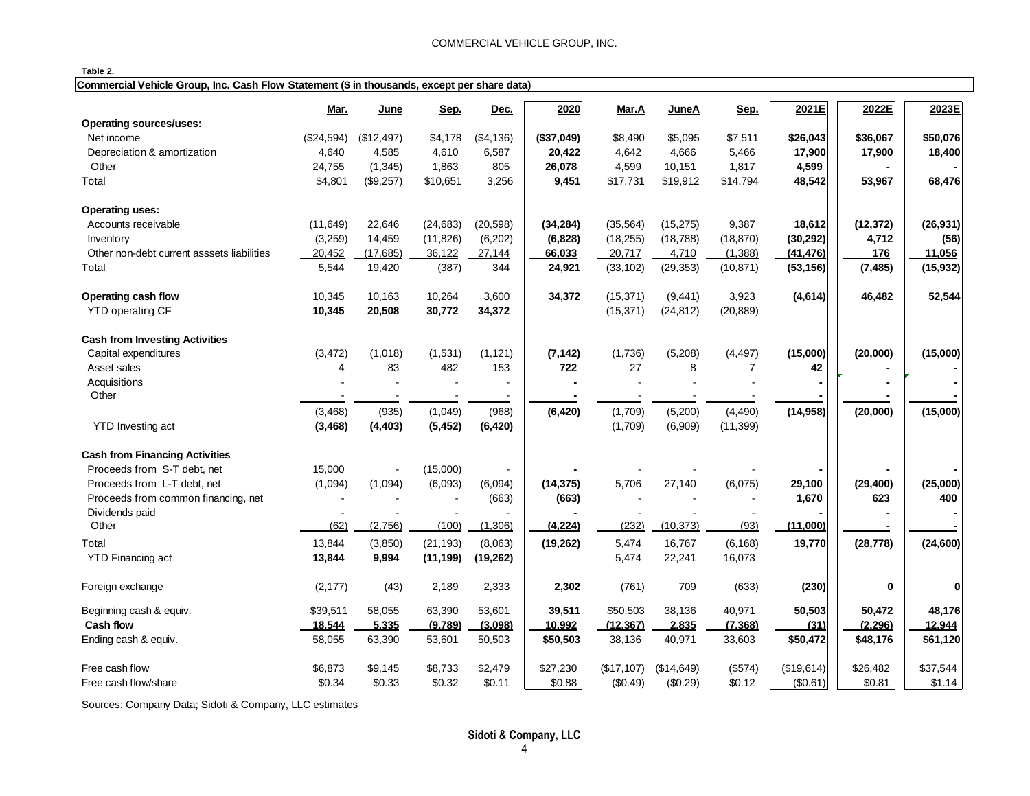| --<br>н<br>ı<br>× |  |
|-------------------|--|
|-------------------|--|

| Commercial Vehicle Group, Inc. Cash Flow Statement (\$ in thousands, except per share data) |  |  |
|---------------------------------------------------------------------------------------------|--|--|
|                                                                                             |  |  |

|                                            | Mar.           | June       | Sep.      | Dec.      | 2020       | Mar.A      | JuneA      | Sep.      | 2021E      | 2022E        | 2023E     |
|--------------------------------------------|----------------|------------|-----------|-----------|------------|------------|------------|-----------|------------|--------------|-----------|
| <b>Operating sources/uses:</b>             |                |            |           |           |            |            |            |           |            |              |           |
| Net income                                 | (\$24,594)     | (\$12,497) | \$4,178   | (\$4,136) | (\$37,049) | \$8,490    | \$5,095    | \$7,511   | \$26,043   | \$36,067     | \$50,076  |
| Depreciation & amortization                | 4,640          | 4,585      | 4,610     | 6,587     | 20,422     | 4,642      | 4,666      | 5,466     | 17,900     | 17,900       | 18,400    |
| Other                                      | 24,755         | (1, 345)   | 1,863     | 805       | 26,078     | 4,599      | 10,151     | 1,817     | 4,599      |              |           |
| Total                                      | \$4,801        | (\$9,257)  | \$10,651  | 3,256     | 9,451      | \$17,731   | \$19,912   | \$14,794  | 48,542     | 53,967       | 68,476    |
| <b>Operating uses:</b>                     |                |            |           |           |            |            |            |           |            |              |           |
| Accounts receivable                        | (11, 649)      | 22,646     | (24, 683) | (20, 598) | (34, 284)  | (35, 564)  | (15, 275)  | 9,387     | 18,612     | (12, 372)    | (26, 931) |
| Inventory                                  | (3,259)        | 14,459     | (11, 826) | (6, 202)  | (6, 828)   | (18, 255)  | (18, 788)  | (18, 870) | (30, 292)  | 4,712        | (56)      |
| Other non-debt current asssets liabilities | 20,452         | (17,685)   | 36,122    | 27,144    | 66,033     | 20,717     | 4,710      | (1,388)   | (41, 476)  | 176          | 11,056    |
| Total                                      | 5,544          | 19,420     | (387)     | 344       | 24,921     | (33, 102)  | (29, 353)  | (10, 871) | (53, 156)  | (7, 485)     | (15, 932) |
| Operating cash flow                        | 10,345         | 10,163     | 10,264    | 3,600     | 34,372     | (15, 371)  | (9, 441)   | 3,923     | (4,614)    | 46,482       | 52,544    |
| <b>YTD operating CF</b>                    | 10,345         | 20,508     | 30,772    | 34,372    |            | (15, 371)  | (24, 812)  | (20, 889) |            |              |           |
| <b>Cash from Investing Activities</b>      |                |            |           |           |            |            |            |           |            |              |           |
| Capital expenditures                       | (3, 472)       | (1,018)    | (1,531)   | (1, 121)  | (7, 142)   | (1,736)    | (5,208)    | (4, 497)  | (15,000)   | (20,000)     | (15,000)  |
| Asset sales                                | $\overline{4}$ | 83         | 482       | 153       | 722        | 27         | 8          | 7         | 42         |              |           |
| Acquisitions                               |                |            |           |           |            |            |            |           |            |              |           |
| Other                                      |                |            |           |           |            |            |            |           |            |              |           |
|                                            | (3, 468)       | (935)      | (1,049)   | (968)     | (6, 420)   | (1,709)    | (5,200)    | (4, 490)  | (14, 958)  | (20,000)     | (15,000)  |
| <b>YTD</b> Investing act                   | (3, 468)       | (4, 403)   | (5, 452)  | (6, 420)  |            | (1,709)    | (6,909)    | (11, 399) |            |              |           |
| <b>Cash from Financing Activities</b>      |                |            |           |           |            |            |            |           |            |              |           |
| Proceeds from S-T debt, net                | 15,000         |            | (15,000)  |           |            |            |            |           |            |              |           |
| Proceeds from L-T debt, net                | (1,094)        | (1,094)    | (6,093)   | (6,094)   | (14, 375)  | 5,706      | 27,140     | (6,075)   | 29,100     | (29, 400)    | (25,000)  |
| Proceeds from common financing, net        | $\sim$         |            |           | (663)     | (663)      | $\sim$     |            |           | 1,670      | 623          | 400       |
| Dividends paid                             |                |            |           |           |            |            |            |           |            |              |           |
| Other                                      | (62)           | (2,756)    | (100)     | (1,306)   | (4, 224)   | (232)      | (10, 373)  | (93)      | (11,000)   |              |           |
| Total                                      | 13,844         | (3,850)    | (21, 193) | (8,063)   | (19, 262)  | 5,474      | 16,767     | (6, 168)  | 19,770     | (28, 778)    | (24, 600) |
| <b>YTD Financing act</b>                   | 13,844         | 9,994      | (11, 199) | (19, 262) |            | 5,474      | 22,241     | 16,073    |            |              |           |
| Foreign exchange                           | (2, 177)       | (43)       | 2,189     | 2,333     | 2,302      | (761)      | 709        | (633)     | (230)      | $\mathbf{0}$ | 0         |
| Beginning cash & equiv.                    | \$39,511       | 58,055     | 63,390    | 53,601    | 39,511     | \$50,503   | 38,136     | 40,971    | 50,503     | 50,472       | 48,176    |
| <b>Cash flow</b>                           | 18,544         | 5,335      | (9,789)   | (3,098)   | 10,992     | (12, 367)  | 2,835      | (7, 368)  | (31)       | (2, 296)     | 12,944    |
| Ending cash & equiv.                       | 58,055         | 63,390     | 53,601    | 50,503    | \$50,503   | 38,136     | 40,971     | 33,603    | \$50,472   | \$48,176     | \$61,120  |
| Free cash flow                             | \$6,873        | \$9,145    | \$8,733   | \$2,479   | \$27,230   | (\$17,107) | (\$14,649) | (\$574)   | (\$19,614) | \$26,482     | \$37,544  |
| Free cash flow/share                       | \$0.34         | \$0.33     | \$0.32    | \$0.11    | \$0.88     | (\$0.49)   | (\$0.29)   | \$0.12    | (\$0.61)   | \$0.81       | \$1.14    |

Sources: Company Data; Sidoti & Company, LLC estimates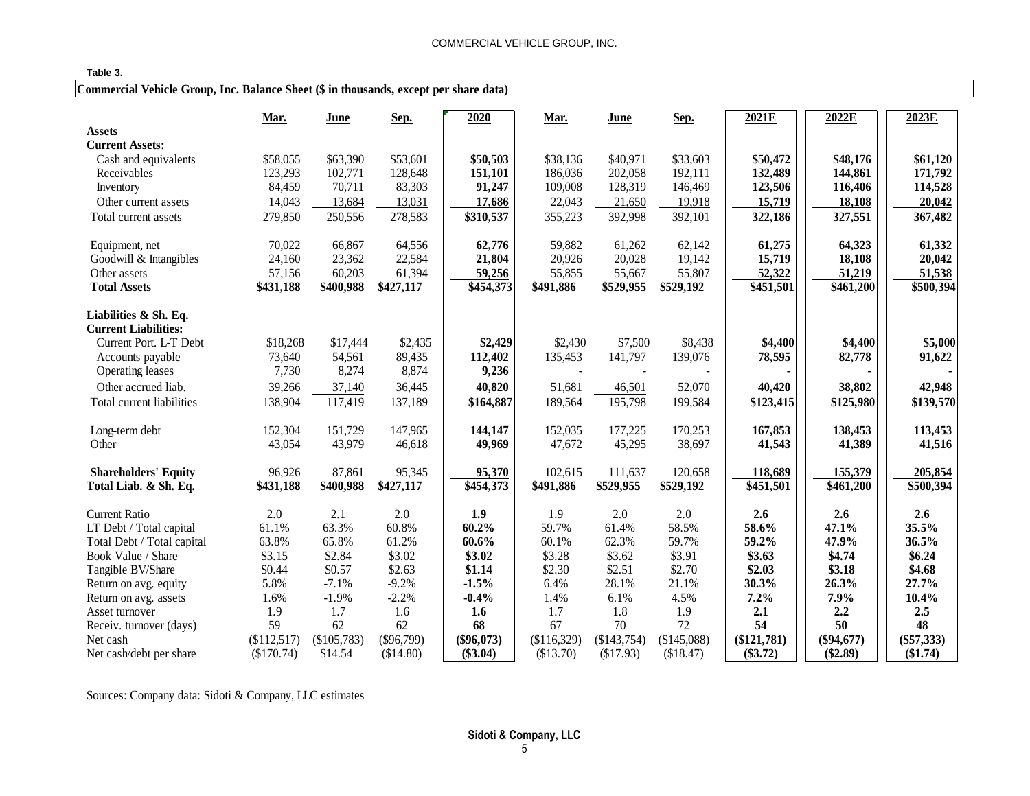### **Table 3.**

# **Commercial Vehicle Group, Inc. Balance Sheet (\$ in thousands, except per share data)**

|                                                      | Mar.        | <b>June</b>   | Sep.         | 2020         | Mar.        | <b>June</b> | Sep.        | 2021E                 | 2022E        | 2023E        |
|------------------------------------------------------|-------------|---------------|--------------|--------------|-------------|-------------|-------------|-----------------------|--------------|--------------|
| <b>Assets</b>                                        |             |               |              |              |             |             |             |                       |              |              |
| <b>Current Assets:</b>                               |             |               |              |              |             |             |             |                       |              |              |
| Cash and equivalents                                 | \$58,055    | \$63,390      | \$53,601     | \$50,503     | \$38,136    | \$40,971    | \$33,603    | \$50,472              | \$48,176     | \$61,120     |
| Receivables                                          | 123,293     | 102,771       | 128,648      | 151,101      | 186,036     | 202,058     | 192,111     | 132,489               | 144,861      | 171,792      |
| Inventory                                            | 84,459      | 70,711        | 83,303       | 91,247       | 109,008     | 128,319     | 146,469     | 123,506               | 116,406      | 114,528      |
| Other current assets                                 | 14,043      | 13,684        | 13,031       | 17,686       | 22,043      | 21,650      | 19,918      | 15,719                | 18,108       | 20,042       |
| Total current assets                                 | 279,850     | 250,556       | 278,583      | \$310,537    | 355,223     | 392,998     | 392,101     | 322,186               | 327,551      | 367,482      |
| Equipment, net                                       | 70,022      | 66,867        | 64,556       | 62,776       | 59,882      | 61,262      | 62,142      | 61,275                | 64,323       | 61,332       |
| Goodwill & Intangibles                               | 24,160      | 23,362        | 22,584       | 21,804       | 20,926      | 20,028      | 19,142      | 15,719                | 18,108       | 20,042       |
| Other assets                                         | 57,156      | 60,203        | 61,394       | 59,256       | 55,855      | 55,667      | 55,807      | 52,322                | 51,219       | 51,538       |
| <b>Total Assets</b>                                  | \$431,188   | \$400,988     | \$427,117    | \$454,373    | \$491,886   | \$529,955   | \$529,192   | \$451,501             | \$461,200    | \$500,394    |
| Liabilities & Sh. Eq.<br><b>Current Liabilities:</b> |             |               |              |              |             |             |             |                       |              |              |
| Current Port. L-T Debt                               | \$18,268    | \$17,444      | \$2,435      | \$2,429      | \$2,430     | \$7,500     | \$8,438     | \$4,400               | \$4,400      | \$5,000      |
| Accounts payable                                     | 73,640      | 54,561        | 89,435       | 112,402      | 135,453     | 141,797     | 139,076     | 78,595                | 82,778       | 91,622       |
| Operating leases                                     | 7,730       | 8,274         | 8,874        | 9,236        |             |             |             |                       |              |              |
| Other accrued liab.                                  | 39,266      | 37,140        | 36,445       | 40,820       | 51,681      | 46,501      | 52,070      | 40,420                | 38,802       | 42,948       |
| Total current liabilities                            | 138,904     | 117,419       | 137,189      | \$164,887    | 189,564     | 195,798     | 199,584     | \$123,415             | \$125,980    | \$139,570    |
| Long-term debt                                       | 152,304     | 151,729       | 147,965      | 144,147      | 152,035     | 177,225     | 170,253     | 167,853               | 138,453      | 113,453      |
| Other                                                | 43,054      | 43,979        | 46,618       | 49,969       | 47,672      | 45,295      | 38,697      | 41,543                | 41,389       | 41,516       |
| <b>Shareholders' Equity</b>                          | 96,926      | 87,861        | 95,345       | 95,370       | 102,615     | 111,637     | 120,658     | 118,689               | 155,379      | 205,854      |
| Total Liab. & Sh. Eq.                                | \$431,188   | \$400,988     | \$427,117    | \$454,373    | \$491,886   | \$529,955   | \$529,192   | $\overline{$451,501}$ | \$461,200    | \$500,394    |
| <b>Current Ratio</b>                                 | 2.0         | 2.1           | 2.0          | 1.9          | 1.9         | 2.0         | 2.0         | 2.6                   | 2.6          | 2.6          |
| LT Debt / Total capital                              | 61.1%       | 63.3%         | 60.8%        | 60.2%        | 59.7%       | 61.4%       | 58.5%       | 58.6%                 | 47.1%        | 35.5%        |
| Total Debt / Total capital                           | 63.8%       | 65.8%         | 61.2%        | 60.6%        | 60.1%       | 62.3%       | 59.7%       | 59.2%                 | 47.9%        | 36.5%        |
| Book Value / Share                                   | \$3.15      | \$2.84        | \$3.02       | \$3.02       | \$3.28      | \$3.62      | \$3.91      | \$3.63                | \$4.74       | \$6.24       |
| Tangible BV/Share                                    | \$0.44      | \$0.57        | \$2.63       | \$1.14       | \$2.30      | \$2.51      | \$2.70      | \$2.03                | \$3.18       | \$4.68       |
| Return on avg. equity                                | 5.8%        | $-7.1%$       | $-9.2%$      | $-1.5%$      | 6.4%        | 28.1%       | 21.1%       | 30.3%                 | 26.3%        | 27.7%        |
| Return on avg. assets                                | 1.6%        | $-1.9%$       | $-2.2%$      | $-0.4%$      | 1.4%        | 6.1%        | 4.5%        | 7.2%                  | 7.9%         | 10.4%        |
| Asset turnover                                       | 1.9         | 1.7           | 1.6          | 1.6          | 1.7         | 1.8         | 1.9         | 2.1                   | 2.2          | 2.5          |
| Receiv. turnover (days)                              | 59          | 62            | 62           | 68           | 67          | 70          | 72          | 54                    | 50           | 48           |
| Net cash                                             | (\$112,517) | $(\$105,783)$ | $(\$96,799)$ | $(\$96,073)$ | (\$116,329) | (\$143,754) | (\$145,088) | $(\$121,781)$         | $(\$94,677)$ | $(\$57,333)$ |
| Net cash/debt per share                              | (\$170.74)  | \$14.54       | (\$14.80)    | $(\$3.04)$   | (\$13.70)   | (\$17.93)   | (\$18.47)   | $(\$3.72)$            | $(\$2.89)$   | (\$1.74)     |

Sources: Company data: Sidoti & Company, LLC estimates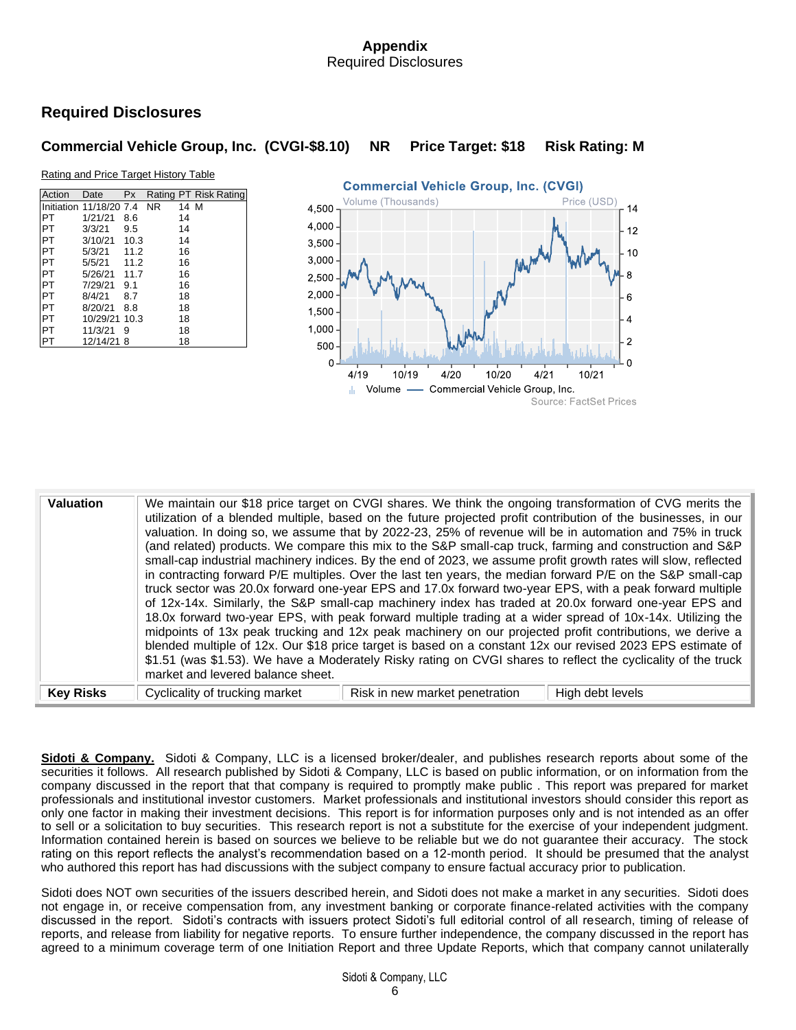# **Appendix** Required Disclosures

# **Required Disclosures**

# **Commercial Vehicle Group, Inc. (CVGI-\$8.10) NR Price Target: \$18 Risk Rating: M**

#### Rating and Price Target History Table

| Action     | Date                    | <b>Px</b> |           |      | Rating PT Risk Rating |
|------------|-------------------------|-----------|-----------|------|-----------------------|
|            | Initiation 11/18/20 7.4 |           | <b>NR</b> | 14 M |                       |
| <b>IPT</b> | 1/21/21                 | 8.6       |           | 14   |                       |
| <b>PT</b>  | 3/3/21                  | 9.5       |           | 14   |                       |
| <b>PT</b>  | 3/10/21                 | 10.3      |           | 14   |                       |
| <b>PT</b>  | 5/3/21                  | 11.2      |           | 16   |                       |
| <b>PT</b>  | 5/5/21                  | 11.2      |           | 16   |                       |
| <b>PT</b>  | 5/26/21                 | 11.7      |           | 16   |                       |
| <b>IPT</b> | 7/29/21                 | 9.1       |           | 16   |                       |
| <b>PT</b>  | 8/4/21                  | 8.7       |           | 18   |                       |
| <b>PT</b>  | 8/20/21                 | 8.8       |           | 18   |                       |
| <b>PT</b>  | 10/29/21 10.3           |           |           | 18   |                       |
| <b>PT</b>  | 11/3/21                 | 9         |           | 18   |                       |
|            | 12/14/21 8              |           |           | 18   |                       |



| <b>Valuation</b> |                                                                     | We maintain our \$18 price target on CVGI shares. We think the ongoing transformation of CVG merits the<br>utilization of a blended multiple, based on the future projected profit contribution of the businesses, in our<br>valuation. In doing so, we assume that by 2022-23, 25% of revenue will be in automation and 75% in truck<br>(and related) products. We compare this mix to the S&P small-cap truck, farming and construction and S&P<br>small-cap industrial machinery indices. By the end of 2023, we assume profit growth rates will slow, reflected<br>in contracting forward P/E multiples. Over the last ten years, the median forward P/E on the S&P small-cap<br>truck sector was 20.0x forward one-year EPS and 17.0x forward two-year EPS, with a peak forward multiple<br>of 12x-14x. Similarly, the S&P small-cap machinery index has traded at 20.0x forward one-year EPS and<br>18.0x forward two-year EPS, with peak forward multiple trading at a wider spread of 10x-14x. Utilizing the<br>midpoints of 13x peak trucking and 12x peak machinery on our projected profit contributions, we derive a | blended multiple of 12x. Our \$18 price target is based on a constant 12x our revised 2023 EPS estimate of<br>\$1.51 (was \$1.53). We have a Moderately Risky rating on CVGI shares to reflect the cyclicality of the truck |
|------------------|---------------------------------------------------------------------|----------------------------------------------------------------------------------------------------------------------------------------------------------------------------------------------------------------------------------------------------------------------------------------------------------------------------------------------------------------------------------------------------------------------------------------------------------------------------------------------------------------------------------------------------------------------------------------------------------------------------------------------------------------------------------------------------------------------------------------------------------------------------------------------------------------------------------------------------------------------------------------------------------------------------------------------------------------------------------------------------------------------------------------------------------------------------------------------------------------------------------|-----------------------------------------------------------------------------------------------------------------------------------------------------------------------------------------------------------------------------|
| <b>Key Risks</b> | market and levered balance sheet.<br>Cyclicality of trucking market | Risk in new market penetration                                                                                                                                                                                                                                                                                                                                                                                                                                                                                                                                                                                                                                                                                                                                                                                                                                                                                                                                                                                                                                                                                                   | High debt levels                                                                                                                                                                                                            |

**Sidoti & Company.**Sidoti & Company, LLC is a licensed broker/dealer, and publishes research reports about some of the securities it follows. All research published by Sidoti & Company, LLC is based on public information, or on information from the company discussed in the report that that company is required to promptly make public . This report was prepared for market professionals and institutional investor customers. Market professionals and institutional investors should consider this report as only one factor in making their investment decisions. This report is for information purposes only and is not intended as an offer to sell or a solicitation to buy securities. This research report is not a substitute for the exercise of your independent judgment. Information contained herein is based on sources we believe to be reliable but we do not guarantee their accuracy. The stock rating on this report reflects the analyst's recommendation based on a 12-month period. It should be presumed that the analyst who authored this report has had discussions with the subject company to ensure factual accuracy prior to publication.

Sidoti does NOT own securities of the issuers described herein, and Sidoti does not make a market in any securities. Sidoti does not engage in, or receive compensation from, any investment banking or corporate finance-related activities with the company discussed in the report. Sidoti's contracts with issuers protect Sidoti's full editorial control of all research, timing of release of reports, and release from liability for negative reports. To ensure further independence, the company discussed in the report has agreed to a minimum coverage term of one Initiation Report and three Update Reports, which that company cannot unilaterally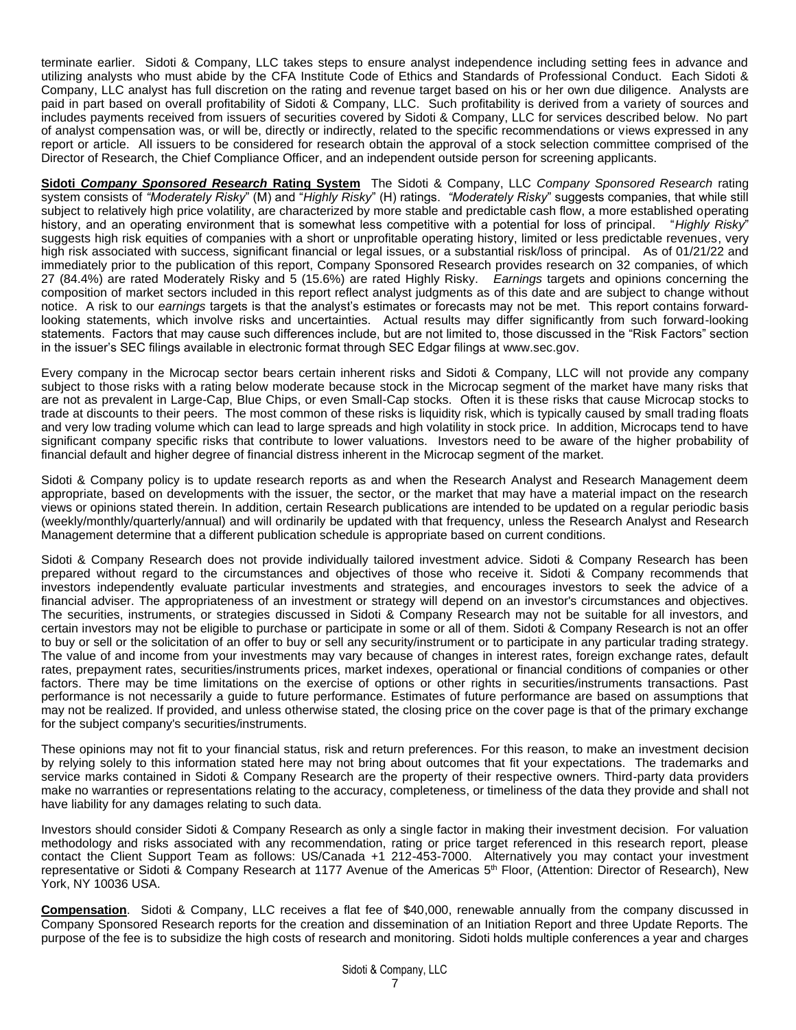terminate earlier. Sidoti & Company, LLC takes steps to ensure analyst independence including setting fees in advance and utilizing analysts who must abide by the CFA Institute Code of Ethics and Standards of Professional Conduct. Each Sidoti & Company, LLC analyst has full discretion on the rating and revenue target based on his or her own due diligence. Analysts are paid in part based on overall profitability of Sidoti & Company, LLC. Such profitability is derived from a variety of sources and includes payments received from issuers of securities covered by Sidoti & Company, LLC for services described below. No part of analyst compensation was, or will be, directly or indirectly, related to the specific recommendations or views expressed in any report or article. All issuers to be considered for research obtain the approval of a stock selection committee comprised of the Director of Research, the Chief Compliance Officer, and an independent outside person for screening applicants.

**Sidoti** *Company Sponsored Research* **Rating System** The Sidoti & Company, LLC *Company Sponsored Research* rating system consists of *"Moderately Risky*" (M) and "*Highly Risky*" (H) ratings. *"Moderately Risky*" suggests companies, that while still subject to relatively high price volatility, are characterized by more stable and predictable cash flow, a more established operating history, and an operating environment that is somewhat less competitive with a potential for loss of principal. "*Highly Risky*" suggests high risk equities of companies with a short or unprofitable operating history, limited or less predictable revenues, very high risk associated with success, significant financial or legal issues, or a substantial risk/loss of principal. As of 01/21/22 and immediately prior to the publication of this report, Company Sponsored Research provides research on 32 companies, of which 27 (84.4%) are rated Moderately Risky and 5 (15.6%) are rated Highly Risky. *Earnings* targets and opinions concerning the composition of market sectors included in this report reflect analyst judgments as of this date and are subject to change without notice. A risk to our *earnings* targets is that the analyst's estimates or forecasts may not be met. This report contains forwardlooking statements, which involve risks and uncertainties. Actual results may differ significantly from such forward-looking statements. Factors that may cause such differences include, but are not limited to, those discussed in the "Risk Factors" section in the issuer's SEC filings available in electronic format through SEC Edgar filings at [www.sec.gov.](http://www.sec.gov/)

Every company in the Microcap sector bears certain inherent risks and Sidoti & Company, LLC will not provide any company subject to those risks with a rating below moderate because stock in the Microcap segment of the market have many risks that are not as prevalent in Large-Cap, Blue Chips, or even Small-Cap stocks. Often it is these risks that cause Microcap stocks to trade at discounts to their peers. The most common of these risks is liquidity risk, which is typically caused by small trading floats and very low trading volume which can lead to large spreads and high volatility in stock price. In addition, Microcaps tend to have significant company specific risks that contribute to lower valuations. Investors need to be aware of the higher probability of financial default and higher degree of financial distress inherent in the Microcap segment of the market.

Sidoti & Company policy is to update research reports as and when the Research Analyst and Research Management deem appropriate, based on developments with the issuer, the sector, or the market that may have a material impact on the research views or opinions stated therein. In addition, certain Research publications are intended to be updated on a regular periodic basis (weekly/monthly/quarterly/annual) and will ordinarily be updated with that frequency, unless the Research Analyst and Research Management determine that a different publication schedule is appropriate based on current conditions.

Sidoti & Company Research does not provide individually tailored investment advice. Sidoti & Company Research has been prepared without regard to the circumstances and objectives of those who receive it. Sidoti & Company recommends that investors independently evaluate particular investments and strategies, and encourages investors to seek the advice of a financial adviser. The appropriateness of an investment or strategy will depend on an investor's circumstances and objectives. The securities, instruments, or strategies discussed in Sidoti & Company Research may not be suitable for all investors, and certain investors may not be eligible to purchase or participate in some or all of them. Sidoti & Company Research is not an offer to buy or sell or the solicitation of an offer to buy or sell any security/instrument or to participate in any particular trading strategy. The value of and income from your investments may vary because of changes in interest rates, foreign exchange rates, default rates, prepayment rates, securities/instruments prices, market indexes, operational or financial conditions of companies or other factors. There may be time limitations on the exercise of options or other rights in securities/instruments transactions. Past performance is not necessarily a guide to future performance. Estimates of future performance are based on assumptions that may not be realized. If provided, and unless otherwise stated, the closing price on the cover page is that of the primary exchange for the subject company's securities/instruments.

These opinions may not fit to your financial status, risk and return preferences. For this reason, to make an investment decision by relying solely to this information stated here may not bring about outcomes that fit your expectations. The trademarks and service marks contained in Sidoti & Company Research are the property of their respective owners. Third-party data providers make no warranties or representations relating to the accuracy, completeness, or timeliness of the data they provide and shall not have liability for any damages relating to such data.

Investors should consider Sidoti & Company Research as only a single factor in making their investment decision. For valuation methodology and risks associated with any recommendation, rating or price target referenced in this research report, please contact the Client Support Team as follows: US/Canada +1 212-453-7000. Alternatively you may contact your investment representative or Sidoti & Company Research at 1177 Avenue of the Americas 5<sup>th</sup> Floor, (Attention: Director of Research), New York, NY 10036 USA.

**Compensation**. Sidoti & Company, LLC receives a flat fee of \$40,000, renewable annually from the company discussed in Company Sponsored Research reports for the creation and dissemination of an Initiation Report and three Update Reports. The purpose of the fee is to subsidize the high costs of research and monitoring. Sidoti holds multiple conferences a year and charges